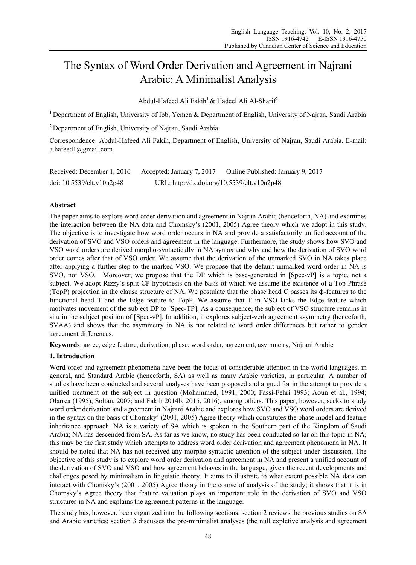# The Syntax of Word Order Derivation and Agreement in Najrani Arabic: A Minimalist Analysis

Abdul-Hafeed Ali Fakih<sup>1</sup> & Hadeel Ali Al-Sharif<sup>2</sup>

<sup>1</sup> Department of English, University of Ibb, Yemen & Department of English, University of Najran, Saudi Arabia

2 Department of English, University of Najran, Saudi Arabia

Correspondence: Abdul-Hafeed Ali Fakih, Department of English, University of Najran, Saudi Arabia. E-mail: a.hafeed1@gmail.com

| Received: December 1, 2016      | Accepted: January 7, 2017                   | Online Published: January 9, 2017 |
|---------------------------------|---------------------------------------------|-----------------------------------|
| doi: $10.5539$ /elt.v $10n2p48$ | URL: http://dx.doi.org/10.5539/elt.v10n2p48 |                                   |

# **Abstract**

The paper aims to explore word order derivation and agreement in Najran Arabic (henceforth, NA) and examines the interaction between the NA data and Chomsky's (2001, 2005) Agree theory which we adopt in this study. The objective is to investigate how word order occurs in NA and provide a satisfactorily unified account of the derivation of SVO and VSO orders and agreement in the language. Furthermore, the study shows how SVO and VSO word orders are derived morpho-syntactically in NA syntax and why and how the derivation of SVO word order comes after that of VSO order. We assume that the derivation of the unmarked SVO in NA takes place after applying a further step to the marked VSO. We propose that the default unmarked word order in NA is SVO, not VSO. Moreover, we propose that the DP which is base-generated in [Spec-vP] is a topic, not a subject. We adopt Rizzy's split-CP hypothesis on the basis of which we assume the existence of a Top Phrase (TopP) projection in the clause structure of NA. We postulate that the phase head C passes its ϕ-features to the functional head T and the Edge feature to TopP. We assume that T in VSO lacks the Edge feature which motivates movement of the subject DP to [Spec-TP]. As a consequence, the subject of VSO structure remains in situ in the subject position of [Spec-vP]. In addition, it explores subject-verb agreement asymmetry (henceforth, SVAA) and shows that the asymmetry in NA is not related to word order differences but rather to gender agreement differences.

**Keywords**: agree, edge feature, derivation, phase, word order, agreement, asymmetry, Najrani Arabic

# **1. Introduction**

Word order and agreement phenomena have been the focus of considerable attention in the world languages, in general, and Standard Arabic (henceforth, SA) as well as many Arabic varieties, in particular. A number of studies have been conducted and several analyses have been proposed and argued for in the attempt to provide a unified treatment of the subject in question (Mohammed, 1991, 2000; Fassi-Fehri 1993; Aoun et al., 1994; Olarrea (1995); Soltan, 2007; and Fakih 2014b, 2015, 2016), among others. This paper, however, seeks to study word order derivation and agreement in Najrani Arabic and explores how SVO and VSO word orders are derived in the syntax on the basis of Chomsky' (2001, 2005) Agree theory which constitutes the phase model and feature inheritance approach. NA is a variety of SA which is spoken in the Southern part of the Kingdom of Saudi Arabia; NA has descended from SA. As far as we know, no study has been conducted so far on this topic in NA; this may be the first study which attempts to address word order derivation and agreement phenomena in NA. It should be noted that NA has not received any morpho-syntactic attention of the subject under discussion. The objective of this study is to explore word order derivation and agreement in NA and present a unified account of the derivation of SVO and VSO and how agreement behaves in the language, given the recent developments and challenges posed by minimalism in linguistic theory. It aims to illustrate to what extent possible NA data can interact with Chomsky's (2001, 2005) Agree theory in the course of analysis of the study; it shows that it is in Chomsky's Agree theory that feature valuation plays an important role in the derivation of SVO and VSO structures in NA and explains the agreement patterns in the language.

The study has, however, been organized into the following sections: section 2 reviews the previous studies on SA and Arabic varieties; section 3 discusses the pre-minimalist analyses (the null expletive analysis and agreement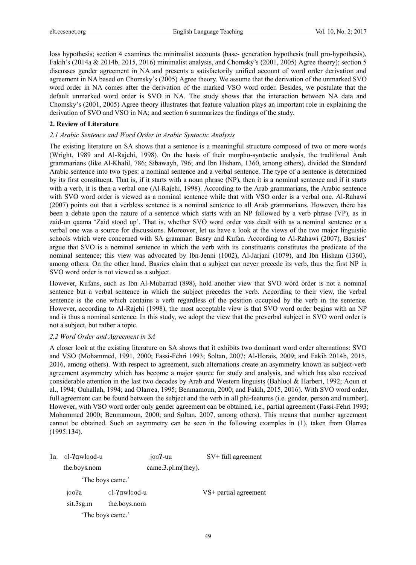loss hypothesis; section 4 examines the minimalist accounts (base- generation hypothesis (null pro-hypothesis), Fakih's (2014a & 2014b, 2015, 2016) minimalist analysis, and Chomsky's (2001, 2005) Agree theory); section 5 discusses gender agreement in NA and presents a satisfactorily unified account of word order derivation and agreement in NA based on Chomsky's (2005) Agree theory. We assume that the derivation of the unmarked SVO word order in NA comes after the derivation of the marked VSO word order. Besides, we postulate that the default unmarked word order is SVO in NA. The study shows that the interaction between NA data and Chomsky's (2001, 2005) Agree theory illustrates that feature valuation plays an important role in explaining the derivation of SVO and VSO in NA; and section 6 summarizes the findings of the study.

## **2. Review of Literature**

## *2.1 Arabic Sentence and Word Order in Arabic Syntactic Analysis*

The existing literature on SA shows that a sentence is a meaningful structure composed of two or more words (Wright, 1989 and Al-Rajehi, 1998). On the basis of their morpho-syntactic analysis, the traditional Arab grammarians (like Al-Khalil, 786; Sibawayh, 796; and Ibn Hisham, 1360, among others), divided the Standard Arabic sentence into two types: a nominal sentence and a verbal sentence. The type of a sentence is determined by its first constituent. That is, if it starts with a noun phrase (NP), then it is a nominal sentence and if it starts with a verb, it is then a verbal one (Al-Rajehi, 1998). According to the Arab grammarians, the Arabic sentence with SVO word order is viewed as a nominal sentence while that with VSO order is a verbal one. Al-Rahawi (2007) points out that a verbless sentence is a nominal sentence to all Arab grammarians. However, there has been a debate upon the nature of a sentence which starts with an NP followed by a verb phrase (VP), as in zaid-un qaama 'Zaid stood up'. That is, whether SVO word order was dealt with as a nominal sentence or a verbal one was a source for discussions. Moreover, let us have a look at the views of the two major linguistic schools which were concerned with SA grammar: Basry and Kufan. According to Al-Rahawi (2007), Basries' argue that SVO is a nominal sentence in which the verb with its constituents constitutes the predicate of the nominal sentence; this view was advocated by Ibn-Jenni (1002), Al-Jarjani (1079), and Ibn Hisham (1360), among others. On the other hand, Basries claim that a subject can never precede its verb, thus the first NP in SVO word order is not viewed as a subject.

However, Kufans, such as Ibn Al-Mubarrad (898), hold another view that SVO word order is not a nominal sentence but a verbal sentence in which the subject precedes the verb. According to their view, the verbal sentence is the one which contains a verb regardless of the position occupied by the verb in the sentence. However, according to Al-Rajehi (1998), the most acceptable view is that SVO word order begins with an NP and is thus a nominal sentence. In this study, we adopt the view that the preverbal subject in SVO word order is not a subject, but rather a topic.

#### *2.2 Word Order and Agreement in SA*

A closer look at the existing literature on SA shows that it exhibits two dominant word order alternations: SVO and VSO (Mohammed, 1991, 2000; Fassi-Fehri 1993; Soltan, 2007; Al-Horais, 2009; and Fakih 2014b, 2015, 2016, among others). With respect to agreement, such alternations create an asymmetry known as subject-verb agreement asymmetry which has become a major source for study and analysis, and which has also received considerable attention in the last two decades by Arab and Western linguists (Bahluol & Harbert, 1992; Aoun et al., 1994; Ouhallah, 1994; and Olarrea, 1995; Benmamoun, 2000; and Fakih, 2015, 2016). With SVO word order, full agreement can be found between the subject and the verb in all phi-features (i.e. gender, person and number). However, with VSO word order only gender agreement can be obtained, i.e., partial agreement (Fassi-Fehri 1993; Mohammed 2000; Benmamoun, 2000; and Soltan, 2007, among others). This means that number agreement cannot be obtained. Such an asymmetry can be seen in the following examples in (1), taken from Olarrea (1995:134).

| la. al-?awlaad-u |                  | jaa?-uu            | $SV+$ full agreement  |
|------------------|------------------|--------------------|-----------------------|
| the boys nom     |                  | came.3.pl.m(they). |                       |
| 'The boys came.' |                  |                    |                       |
| jaa?a            | al-?awlaad-u     |                    | VS+ partial agreement |
| $s$ it.3sg.m     | the boys nom     |                    |                       |
|                  | 'The boys came.' |                    |                       |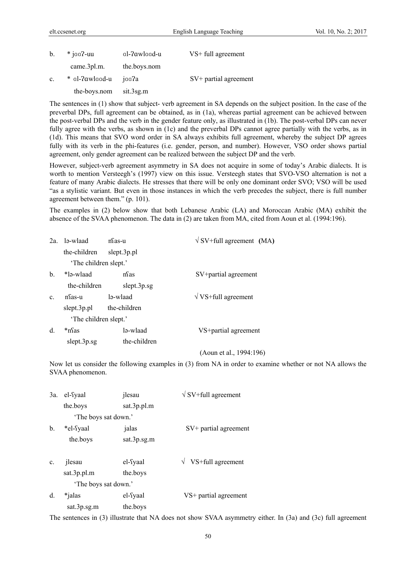| b <sub>1</sub> | $*$ jaa?-uu    | al-?awlaad-u | $VS+$ full agreement     |
|----------------|----------------|--------------|--------------------------|
|                | came.3pl.m.    | the boys nom |                          |
| $\mathbf{c}$ . | * al-?awlaad-u | iaa?a        | $SV$ + partial agreement |
|                | the-boys.nom   | sit.3sg.m    |                          |

The sentences in (1) show that subject- verb agreement in SA depends on the subject position. In the case of the preverbal DPs, full agreement can be obtained, as in (1a), whereas partial agreement can be achieved between the post-verbal DPs and the verb in the gender feature only, as illustrated in (1b). The post-verbal DPs can never fully agree with the verbs, as shown in (1c) and the preverbal DPs cannot agree partially with the verbs, as in (1d). This means that SVO word order in SA always exhibits full agreement, whereby the subject DP agrees fully with its verb in the phi-features (i.e. gender, person, and number). However, VSO order shows partial agreement, only gender agreement can be realized between the subject DP and the verb.

However, subject-verb agreement asymmetry in SA does not acquire in some of today's Arabic dialects. It is worth to mention Versteegh's (1997) view on this issue. Versteegh states that SVO-VSO alternation is not a feature of many Arabic dialects. He stresses that there will be only one dominant order SVO; VSO will be used "as a stylistic variant. But even in those instances in which the verb precedes the subject, there is full number agreement between them." (p. 101).

The examples in (2) below show that both Lebanese Arabic (LA) and Moroccan Arabic (MA) exhibit the absence of the SVAA phenomenon. The data in (2) are taken from MA, cited from Aoun et al. (1994:196).

| 2a             | $l$ ə-wlaad           | nsas-u       | $\sqrt{\text{SV+full agreement (MA)}}$ |
|----------------|-----------------------|--------------|----------------------------------------|
|                | the-children          | slept.3p.pl  |                                        |
|                | 'The children slept.' |              |                                        |
| $\mathbf{b}$ . | *lə-wlaad             | nsas         | SV+partial agreement                   |
|                | the-children          | slept.3p.sg  |                                        |
| $\mathbf{c}$ . | nfas-u                | lə-wlaad     | $\sqrt{VS}$ -full agreement            |
|                | slept.3p.pl           | the-children |                                        |
|                | 'The children slept.' |              |                                        |
| d.             | *nfas                 | lə-wlaad     | VS+partial agreement                   |
|                | slept.3p.sg           | the-children |                                        |
|                |                       |              | (Aoun et al., 1994:196)                |

Now let us consider the following examples in (3) from NA in order to examine whether or not NA allows the SVAA phenomenon.

| $3a$ .         | el-Syaal             | jlesau      | $\sqrt{\rm SV+full}$ agreement          |
|----------------|----------------------|-------------|-----------------------------------------|
|                | the boys             | sat.3p.pl.m |                                         |
|                | 'The boys sat down.' |             |                                         |
| b.             | *el-fyaal            | jalas       | $SV+$ partial agreement                 |
|                | the.boys             | sat.3p.sg.m |                                         |
| $\mathbf{c}$ . | jlesau               | el-Syaal    | $\sqrt{\phantom{a} }$ VS+full agreement |
|                | sat.3p.pl.m          | the boys    |                                         |
|                | 'The boys sat down.' |             |                                         |
| d.             | *jalas               | el-Syaal    | VS+ partial agreement                   |
|                | sat.3p.sg.m          | the boys    |                                         |

The sentences in (3) illustrate that NA does not show SVAA asymmetry either. In (3a) and (3c) full agreement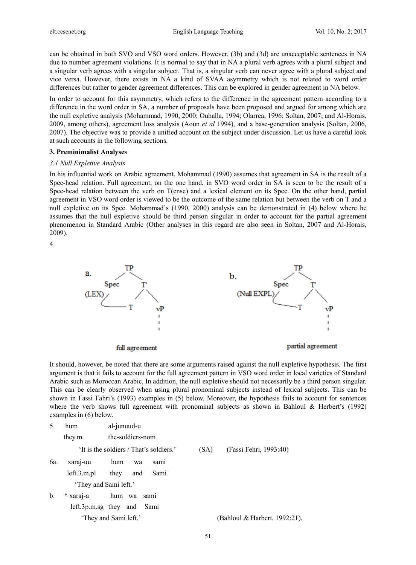can be obtained in both SVO and VSO word orders. However, (3b) and (3d) are unacceptable sentences in NA due to number agreement violations. It is normal to say that in NA a plural verb agrees with a plural subject and a singular verb agrees with a singular subject. That is, a singular verb can never agree with a plural subject and vice versa. However, there exists in NA a kind of SVAA asymmetry which is not related to word order differences but rather to gender agreement differences. This can be explored in gender agreement in NA below.

In order to account for this asymmetry, which refers to the difference in the agreement pattern according to a difference in the word order in SA, a number of proposals have been proposed and argued for among which are the null expletive analysis (Mohammad, 1990, 2000; Ouhalla, 1994; Olarrea, 1996; Soltan, 2007; and Al-Horais, 2009, among others), agreement loss analysis (Aoun *et al* 1994), and a base-generation analysis (Soltan, 2006, 2007). The objective was to provide a unified account on the subject under discussion. Let us have a careful look at such accounts in the following sections.

#### **3. Preminimalist Analyses**

#### *3.1 Null Expletive Analysis*

In his influential work on Arabic agreement, Mohammad (1990) assumes that agreement in SA is the result of a Spec-head relation. Full agreement, on the one hand, in SVO word order in SA is seen to be the result of a Spec-head relation between the verb on T(ense) and a lexical element on its Spec. On the other hand, partial agreement in VSO word order is viewed to be the outcome of the same relation but between the verb on T and a null expletive on its Spec. Mohammad's (1990, 2000) analysis can be demonstrated in (4) below where he assumes that the null expletive should be third person singular in order to account for the partial agreement phenomenon in Standard Arabic (Other analyses in this regard are also seen in Soltan, 2007 and Al-Horais, 2009).

4.



It should, however, be noted that there are some arguments raised against the null expletive hypothesis. The first argument is that it fails to account for the full agreement pattern in VSO word order in local varieties of Standard Arabic such as Moroccan Arabic. In addition, the null expletive should not necessarily be a third person singular. This can be clearly observed when using plural pronominal subjects instead of lexical subjects. This can be shown in Fassi Fahri's (1993) examples in (5) below. Moreover, the hypothesis fails to account for sentences where the verb shows full agreement with pronominal subjects as shown in Bahloul & Herbert's  $(1992)$ examples in (6) below.

| 5.            | hum                   | al-junuud-u                             |      |                               |
|---------------|-----------------------|-----------------------------------------|------|-------------------------------|
|               | they.m.               | the-soldiers-nom                        |      |                               |
|               |                       | 'It is the soldiers / That's soldiers.' | (SA) | (Fassi Fehri, 1993:40)        |
| 6a.           | xaraj-uu              | hum<br>sami<br>wa                       |      |                               |
|               | left.3.m.pl           | they<br>and<br>Sami                     |      |                               |
|               | 'They and Sami left.' |                                         |      |                               |
| $\mathbf b$ . | * xaraj-a             | hum wa<br>sami                          |      |                               |
|               | left.3p.m.sg they and | Sami                                    |      |                               |
|               |                       | 'They and Sami left.'                   |      | (Bahloul & Harbert, 1992:21). |
|               |                       |                                         |      |                               |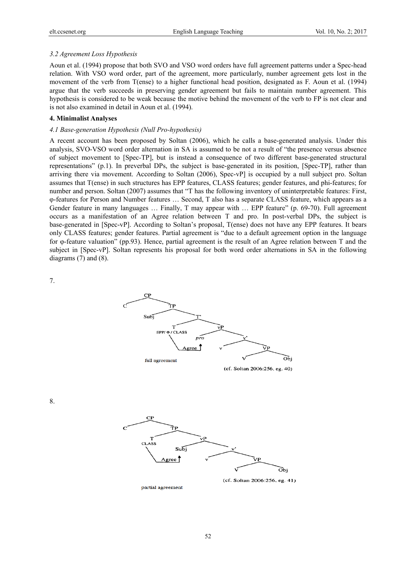#### *3.2 Agreement Loss Hypothesis*

Aoun et al. (1994) propose that both SVO and VSO word orders have full agreement patterns under a Spec-head relation. With VSO word order, part of the agreement, more particularly, number agreement gets lost in the movement of the verb from T(ense) to a higher functional head position, designated as F. Aoun et al. (1994) argue that the verb succeeds in preserving gender agreement but fails to maintain number agreement. This hypothesis is considered to be weak because the motive behind the movement of the verb to FP is not clear and is not also examined in detail in Aoun et al. (1994).

## **4. Minimalist Analyses**

## *4.1 Base-generation Hypothesis (Null Pro-hypothesis)*

A recent account has been proposed by Soltan (2006), which he calls a base-generated analysis. Under this analysis, SVO-VSO word order alternation in SA is assumed to be not a result of "the presence versus absence of subject movement to [Spec-TP], but is instead a consequence of two different base-generated structural representations" (p.1). In preverbal DPs, the subject is base-generated in its position, [Spec-TP], rather than arriving there via movement. According to Soltan (2006), Spec-vP] is occupied by a null subject pro. Soltan assumes that T(ense) in such structures has EPP features, CLASS features; gender features, and phi-features; for number and person. Soltan (2007) assumes that "T has the following inventory of uninterpretable features: First, φ-features for Person and Number features … Second, T also has a separate CLASS feature, which appears as a Gender feature in many languages … Finally, T may appear with … EPP feature" (p. 69-70). Full agreement occurs as a manifestation of an Agree relation between T and pro. In post-verbal DPs, the subject is base-generated in [Spec-vP]. According to Soltan's proposal, T(ense) does not have any EPP features. It bears only CLASS features; gender features. Partial agreement is "due to a default agreement option in the language for φ-feature valuation" (pp.93). Hence, partial agreement is the result of an Agree relation between T and the subject in [Spec-vP]. Soltan represents his proposal for both word order alternations in SA in the following diagrams (7) and (8).

7.



8.



partial agreement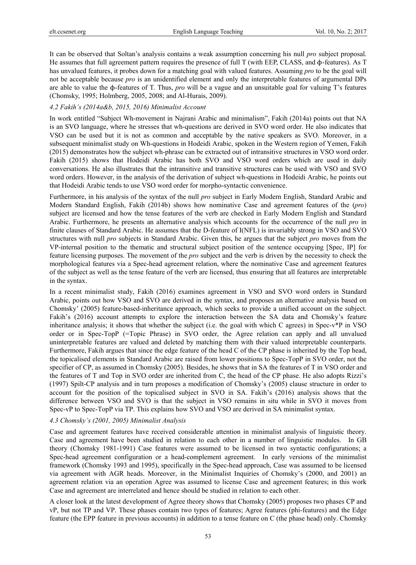It can be observed that Soltan's analysis contains a weak assumption concerning his null *pro* subject proposal. He assumes that full agreement pattern requires the presence of full T (with EEP, CLASS, and ϕ-features). As T has unvalued features, it probes down for a matching goal with valued features. Assuming *pro* to be the goal will not be acceptable because *pro* is an unidentified element and only the interpretable features of argumental DPs are able to value the ϕ-features of T. Thus, *pro* will be a vague and an unsuitable goal for valuing T's features (Chomsky, 1995; Holmberg, 2005, 2008; and Al-Hurais, 2009).

# *4.2 Fakih's (2014a&b, 2015, 2016) Minimalist Account*

In work entitled "Subject Wh-movement in Najrani Arabic and minimalism", Fakih (2014a) points out that NA is an SVO language, where he stresses that wh-questions are derived in SVO word order. He also indicates that VSO can be used but it is not as common and acceptable by the native speakers as SVO. Moreover, in a subsequent minimalist study on Wh-questions in Hodeidi Arabic, spoken in the Western region of Yemen, Fakih (2015) demonstrates how the subject wh-phrase can be extracted out of intransitive structures in VSO word order. Fakih (2015) shows that Hodeidi Arabic has both SVO and VSO word orders which are used in daily conversations. He also illustrates that the intransitive and transitive structures can be used with VSO and SVO word orders. However, in the analysis of the derivation of subject wh-questions in Hodeidi Arabic, he points out that Hodeidi Arabic tends to use VSO word order for morpho-syntactic convenience.

Furthermore, in his analysis of the syntax of the null *pro* subject in Early Modern English, Standard Arabic and Modern Standard English, Fakih (2014b) shows how nominative Case and agreement features of the (*pro*) subject are licensed and how the tense features of the verb are checked in Early Modern English and Standard Arabic. Furthermore, he presents an alternative analysis which accounts for the occurrence of the null *pro* in finite clauses of Standard Arabic. He assumes that the D-feature of I(NFL) is invariably strong in VSO and SVO structures with null *pro* subjects in Standard Arabic. Given this, he argues that the subject *pro* moves from the VP-internal position to the thematic and structural subject position of the sentence occupying [Spec, IP] for feature licensing purposes. The movement of the *pro* subject and the verb is driven by the necessity to check the morphological features via a Spec-head agreement relation, where the nominative Case and agreement features of the subject as well as the tense feature of the verb are licensed, thus ensuring that all features are interpretable in the syntax.

In a recent minimalist study, Fakih (2016) examines agreement in VSO and SVO word orders in Standard Arabic, points out how VSO and SVO are derived in the syntax, and proposes an alternative analysis based on Chomsky' (2005) feature-based-inheritance approach, which seeks to provide a unified account on the subject. Fakih's (2016) account attempts to explore the interaction between the SA data and Chomsky's feature inheritance analysis; it shows that whether the subject (i.e. the goal with which C agrees) in Spec-v\*P in VSO order or in Spec-TopP (=Topic Phrase) in SVO order, the Agree relation can apply and all unvalued uninterpretable features are valued and deleted by matching them with their valued interpretable counterparts. Furthermore, Fakih argues that since the edge feature of the head C of the CP phase is inherited by the Top head, the topicalised elements in Standard Arabic are raised from lower positions to Spec-TopP in SVO order, not the specifier of CP, as assumed in Chomsky (2005). Besides, he shows that in SA the features of T in VSO order and the features of T and Top in SVO order are inherited from C, the head of the CP phase. He also adopts Rizzi's (1997) Spilt-CP analysis and in turn proposes a modification of Chomsky's (2005) clause structure in order to account for the position of the topicalised subject in SVO in SA. Fakih's (2016) analysis shows that the difference between VSO and SVO is that the subject in VSO remains in situ while in SVO it moves from Spec-vP to Spec-TopP via TP. This explains how SVO and VSO are derived in SA minimalist syntax.

#### *4.3 Chomsky's (2001, 2005) Minimalist Analysis*

Case and agreement features have received considerable attention in minimalist analysis of linguistic theory. Case and agreement have been studied in relation to each other in a number of linguistic modules. In GB theory (Chomsky 1981-1991) Case features were assumed to be licensed in two syntactic configurations; a Spec-head agreement configuration or a head-complement agreement. In early versions of the minimalist framework (Chomsky 1993 and 1995), specifically in the Spec-head approach, Case was assumed to be licensed via agreement with AGR heads. Moreover, in the Minimalist Inquiries of Chomsky's (2000, and 2001) an agreement relation via an operation Agree was assumed to license Case and agreement features; in this work Case and agreement are interrelated and hence should be studied in relation to each other.

A closer look at the latest development of Agree theory shows that Chomsky (2005) proposes two phases CP and vP, but not TP and VP. These phases contain two types of features; Agree features (phi-features) and the Edge feature (the EPP feature in previous accounts) in addition to a tense feature on C (the phase head) only. Chomsky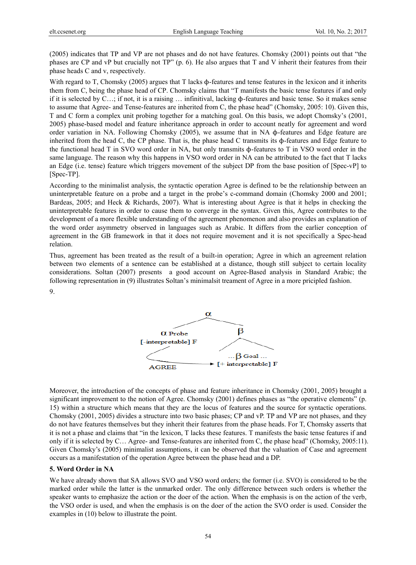(2005) indicates that TP and VP are not phases and do not have features. Chomsky (2001) points out that "the phases are CP and vP but crucially not TP" (p. 6). He also argues that T and V inherit their features from their phase heads C and v, respectively.

With regard to T, Chomsky (2005) argues that T lacks ϕ-features and tense features in the lexicon and it inherits them from C, being the phase head of CP. Chomsky claims that "T manifests the basic tense features if and only if it is selected by C…; if not, it is a raising … infinitival, lacking ϕ-features and basic tense. So it makes sense to assume that Agree- and Tense-features are inherited from C, the phase head" (Chomsky, 2005: 10). Given this, T and C form a complex unit probing together for a matching goal. On this basis, we adopt Chomsky's (2001, 2005) phase-based model and feature inheritance approach in order to account neatly for agreement and word order variation in NA. Following Chomsky (2005), we assume that in NA ϕ-features and Edge feature are inherited from the head C, the CP phase. That is, the phase head C transmits its ϕ-features and Edge feature to the functional head T in SVO word order in NA, but only transmits ϕ-features to T in VSO word order in the same language. The reason why this happens in VSO word order in NA can be attributed to the fact that T lacks an Edge (i.e. tense) feature which triggers movement of the subject DP from the base position of [Spec-vP] to [Spec-TP].

According to the minimalist analysis, the syntactic operation Agree is defined to be the relationship between an uninterpretable feature on a probe and a target in the probe's c-command domain (Chomsky 2000 and 2001; Bardeas, 2005; and Heck & Richards, 2007). What is interesting about Agree is that it helps in checking the uninterpretable features in order to cause them to converge in the syntax. Given this, Agree contributes to the development of a more flexible understanding of the agreement phenomenon and also provides an explanation of the word order asymmetry observed in languages such as Arabic. It differs from the earlier conception of agreement in the GB framework in that it does not require movement and it is not specifically a Spec-head relation.

Thus, agreement has been treated as the result of a built-in operation; Agree in which an agreement relation between two elements of a sentence can be established at a distance, though still subject to certain locality considerations. Soltan (2007) presents a good account on Agree-Based analysis in Standard Arabic; the following representation in (9) illustrates Soltan's minimalsit treament of Agree in a more pricipled fashion. 9.



Moreover, the introduction of the concepts of phase and feature inheritance in Chomsky (2001, 2005) brought a significant improvement to the notion of Agree. Chomsky (2001) defines phases as "the operative elements" (p. 15) within a structure which means that they are the locus of features and the source for syntactic operations. Chomsky (2001, 2005) divides a structure into two basic phases; CP and vP. TP and VP are not phases, and they do not have features themselves but they inherit their features from the phase heads. For T, Chomsky asserts that it is not a phase and claims that "in the lexicon, T lacks these features. T manifests the basic tense features if and only if it is selected by C… Agree- and Tense-features are inherited from C, the phase head" (Chomsky, 2005:11). Given Chomsky's (2005) minimalist assumptions, it can be observed that the valuation of Case and agreement occurs as a manifestation of the operation Agree between the phase head and a DP.

# **5. Word Order in NA**

We have already shown that SA allows SVO and VSO word orders; the former (i.e. SVO) is considered to be the marked order while the latter is the unmarked order. The only difference between such orders is whether the speaker wants to emphasize the action or the doer of the action. When the emphasis is on the action of the verb, the VSO order is used, and when the emphasis is on the doer of the action the SVO order is used. Consider the examples in (10) below to illustrate the point.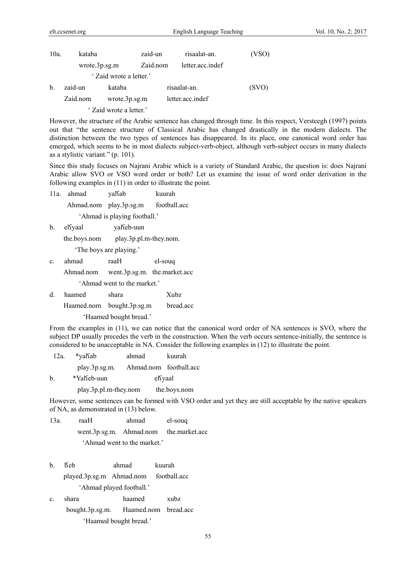| 10a. | kataba        |                        | zaid-un  | risaalat-an.     | (VSO) |
|------|---------------|------------------------|----------|------------------|-------|
|      | wrote.3p.sg.m |                        | Zaid.nom | letter.acc.indef |       |
|      |               | 'Zaid wrote a letter.' |          |                  |       |
| b.   | zaid-un       | kataba                 |          | risaalat-an.     | (SVO) |
|      | Zaid.nom      | wrote.3p.sg.m          |          | letter.acc.indef |       |
|      |               | 'Zaid wrote a letter.' |          |                  |       |

However, the structure of the Arabic sentence has changed through time. In this respect, Versteegh (1997) points out that "the sentence structure of Classical Arabic has changed drastically in the modern dialects. The distinction between the two types of sentences has disappeared. In its place, one canonical word order has emerged, which seems to be in most dialects subject-verb-object, although verb-subject occurs in many dialects as a stylistic variant." (p. 101).

Since this study focuses on Najrani Arabic which is a variety of Standard Arabic, the question is: does Najrani Arabic allow SVO or VSO word order or both? Let us examine the issue of word order derivation in the following examples in (11) in order to illustrate the point.

| 11a. | ahmad | yalfab | kuurah |
|------|-------|--------|--------|
|------|-------|--------|--------|

Ahmad.nom play.3p.sg.m football.acc

'Ahmad is playing football.'

b. elʕyaal yalʕeb-uun

the.boys.nom play.3p.pl.m-they.nom.

'The boys are playing.'

- c. ahmad raaH el-souq Ahmad.nom went.3p.sg.m. the.market.acc 'Ahmad went to the market.' d. haamed shara Xubz
- 

Haamed.nom bought.3p.sg.m bread.acc

'Haamed bought bread.'

From the examples in (11), we can notice that the canonical word order of NA sentences is SVO, where the subject DP usually precedes the verb in the construction. When the verb occurs sentence-initially, the sentence is considered to be unacceptable in NA. Consider the following examples in (12) to illustrate the point.

| 12a. | *valsab*              | ahmad                  | kuurah       |
|------|-----------------------|------------------------|--------------|
|      | play.3p.sg.m.         | Ahmad.nom football.acc |              |
| b.   | *Yalfeb-uun           |                        | elsyaal      |
|      | play.3p.pl.m-they.nom |                        | the boys nom |

However, some sentences can be formed with VSO order and yet they are still acceptable by the native speakers of NA, as demonstrated in (13) below.

13a. raaH ahmad el-souq went.3p.sg.m. Ahmad.nom the.market.acc 'Ahmad went to the market.'

- b. lʕeb ahmad kuurah played.3p.sg.m Ahmad.nom football.acc 'Ahmad played football.'
- c. shara haamed xubz bought.3p.sg.m. Haamed.nom bread.acc 'Haamed bought bread.'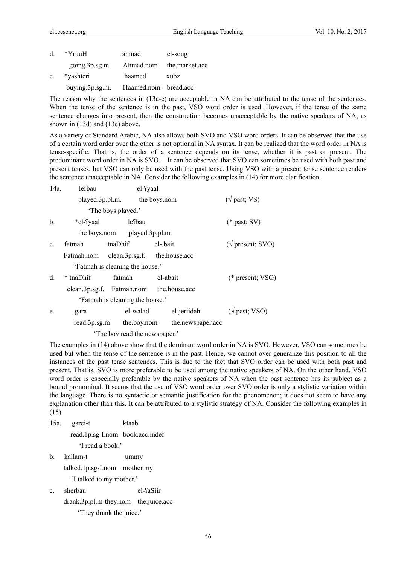| $d_{\cdot}$ | *YruuH          | ahmad                | el-soug        |
|-------------|-----------------|----------------------|----------------|
|             | going.3p.sg.m.  | Ahmad.nom            | the market acc |
| e.          | *yashteri       | haamed               | xubz           |
|             | buying.3p.sg.m. | Haamed.nom bread.acc |                |

The reason why the sentences in (13a-c) are acceptable in NA can be attributed to the tense of the sentences. When the tense of the sentence is in the past, VSO word order is used. However, if the tense of the same sentence changes into present, then the construction becomes unacceptable by the native speakers of NA, as shown in (13d) and (13e) above.

As a variety of Standard Arabic, NA also allows both SVO and VSO word orders. It can be observed that the use of a certain word order over the other is not optional in NA syntax. It can be realized that the word order in NA is tense-specific. That is, the order of a sentence depends on its tense, whether it is past or present. The predominant word order in NA is SVO. It can be observed that SVO can sometimes be used with both past and present tenses, but VSO can only be used with the past tense. Using VSO with a present tense sentence renders the sentence unacceptable in NA. Consider the following examples in (14) for more clarification.

| 14a            | lesbau    | el-Syaal                                |                                            |                                    |
|----------------|-----------|-----------------------------------------|--------------------------------------------|------------------------------------|
|                |           | played.3p.pl.m. the boys.nom            |                                            | $(\sqrt{\text{past}}; \text{VS})$  |
|                |           | 'The boys played.'                      |                                            |                                    |
| $b_{\cdot}$    | *el-fyaal | lesbau                                  |                                            | $(*$ past; SV)                     |
|                |           | the boys.nom played.3p.pl.m.            |                                            |                                    |
| $\mathbf{c}$ . | fatmah    | tnaDhif                                 | el-bait                                    | $(\sqrt{\text{present}}; SVO)$     |
|                |           | Fatmah.nom clean.3p.sg.f. the.house.acc |                                            |                                    |
|                |           | 'Fatmah is cleaning the house.'         |                                            |                                    |
| $d_{\cdot}$    | * tnaDhif | fatmah                                  | el-abait                                   | (* present; $VSO$ )                |
|                |           | clean.3p.sg.f. Fatmah.nom the.house.acc |                                            |                                    |
|                |           | 'Fatmah is cleaning the house.'         |                                            |                                    |
| e.             | gara      | el-walad                                | el-jeriidah                                | $(\sqrt{\text{past}}; \text{VSO})$ |
|                |           |                                         | read.3p.sg.m the.boy.nom the.newspaper.acc |                                    |
|                |           | 'The boy read the newspaper.'           |                                            |                                    |

The examples in (14) above show that the dominant word order in NA is SVO. However, VSO can sometimes be used but when the tense of the sentence is in the past. Hence, we cannot over generalize this position to all the instances of the past tense sentences. This is due to the fact that SVO order can be used with both past and present. That is, SVO is more preferable to be used among the native speakers of NA. On the other hand, VSO word order is especially preferable by the native speakers of NA when the past sentence has its subject as a bound pronominal. It seems that the use of VSO word order over SVO order is only a stylistic variation within the language. There is no syntactic or semantic justification for the phenomenon; it does not seem to have any explanation other than this. It can be attributed to a stylistic strategy of NA. Consider the following examples in (15).

15a. garei-t ktaab

read.1p.sg-I.nom book.acc.indef

'I read a book.'

- b. kallam-t ummy talked.1p.sg-I.nom mother.my 'I talked to my mother.'
- c. sherbau el-ʕaSiir
	- drank.3p.pl.m-they.nom the.juice.acc
		- 'They drank the juice.'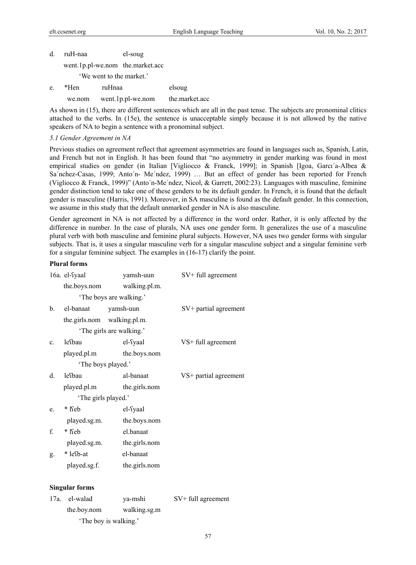|    | d. ruH-naa |        | el-soug                          |        |
|----|------------|--------|----------------------------------|--------|
|    |            |        | went.1p.pl-we.nom the.market.acc |        |
|    |            |        | 'We went to the market.'         |        |
| e. | *Hen       | ruHnaa |                                  | elsoug |

we.nom went.1p.pl-we.nom the.market.acc

As shown in (15), there are different sentences which are all in the past tense. The subjects are pronominal clitics attached to the verbs. In (15e), the sentence is unacceptable simply because it is not allowed by the native speakers of NA to begin a sentence with a pronominal subject.

# *5.1 Gender Agreement in NA*

Previous studies on agreement reflect that agreement asymmetries are found in languages such as, Spanish, Latin, and French but not in English. It has been found that "no asymmetry in gender marking was found in most empirical studies on gender (in Italian [Vigliocco & Franck, 1999]; in Spanish [Igoa, Garcı´a-Albea & Sa´nchez-Casas, 1999; Anto´n- Me´ndez, 1999) … But an effect of gender has been reported for French (Vigliocco & Franck, 1999)" (Anto´n-Me´ndez, Nicol, & Garrett, 2002:23). Languages with masculine, feminine gender distinction tend to take one of these genders to be its default gender. In French, it is found that the default gender is masculine (Harris, 1991). Moreover, in SA masculine is found as the default gender. In this connection, we assume in this study that the default unmarked gender in NA is also masculine.

Gender agreement in NA is not affected by a difference in the word order. Rather, it is only affected by the difference in number. In the case of plurals, NA uses one gender form. It generalizes the use of a masculine plural verb with both masculine and feminine plural subjects. However, NA uses two gender forms with singular subjects. That is, it uses a singular masculine verb for a singular masculine subject and a singular feminine verb for a singular feminine subject. The examples in (16-17) clarify the point.

# **Plural forms**

|                       | 16a. el-Syaal               | yamsh-uun                | SV+ full agreement    |  |  |
|-----------------------|-----------------------------|--------------------------|-----------------------|--|--|
|                       | the.boys.nom                | walking.pl.m.            |                       |  |  |
|                       |                             | 'The boys are walking.'  |                       |  |  |
| b.                    | el-banaat                   | yamsh-uun                | SV+ partial agreement |  |  |
|                       | the.girls.nom walking.pl.m. |                          |                       |  |  |
|                       |                             | 'The girls are walking.' |                       |  |  |
| c.                    | lesbau                      | el-Syaal                 | VS+ full agreement    |  |  |
|                       | played.pl.m                 | the.boys.nom             |                       |  |  |
|                       | 'The boys played.'          |                          |                       |  |  |
| d.                    | lesbau                      | al-banaat                | VS+ partial agreement |  |  |
|                       | played.pl.m                 | the.girls.nom            |                       |  |  |
|                       | 'The girls played.'         |                          |                       |  |  |
| e.                    | $*$ Iseb                    | el-Syaal                 |                       |  |  |
|                       | played.sg.m.                | the.boys.nom             |                       |  |  |
| $\mathbf{f}$          | $*$ 15eb                    | el.banaat                |                       |  |  |
|                       | played.sg.m.                | the.girls.nom            |                       |  |  |
| g.                    | * lesb-at                   | el-banaat                |                       |  |  |
|                       | played.sg.f.                | the.girls.nom            |                       |  |  |
|                       |                             |                          |                       |  |  |
| <b>Singular forms</b> |                             |                          |                       |  |  |

| 17a. el-walad |                       | ya-mshi      | $SV+$ full agreement |  |
|---------------|-----------------------|--------------|----------------------|--|
|               | the boy nom           | walking.sg.m |                      |  |
|               | 'The boy is walking.' |              |                      |  |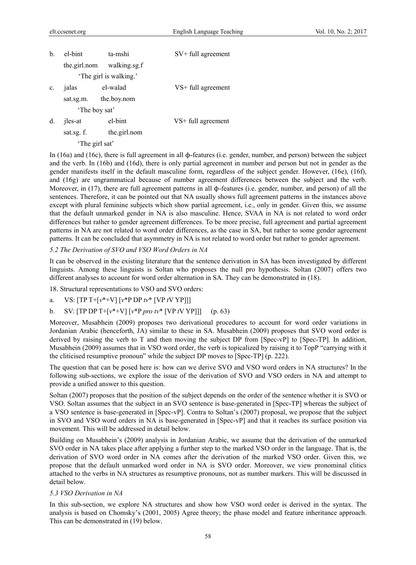| $b_{\cdot}$ | el-bint        | ta-mshi                   | $SV+$ full agreement |
|-------------|----------------|---------------------------|----------------------|
|             |                | the girl.nom walking sg.f |                      |
|             |                | 'The girl is walking.'    |                      |
| c.          | jalas          | el-walad                  | $VS+$ full agreement |
|             |                | sat.sg.m. the.boy.nom     |                      |
|             | 'The boy sat'  |                           |                      |
| d.          | jles-at        | el-bint                   | $VS+$ full agreement |
|             | sat.sg. f.     | the girl nom              |                      |
|             | 'The girl sat' |                           |                      |
|             |                |                           |                      |

In (16a) and (16c), there is full agreement in all ϕ-features (i.e. gender, number, and person) between the subject and the verb. In (16b) and (16d), there is only partial agreement in number and person but not in gender as the gender manifests itself in the default masculine form, regardless of the subject gender. However, (16e), (16f), and (16g) are ungrammatical because of number agreement differences between the subject and the verb. Moreover, in (17), there are full agreement patterns in all ϕ-features (i.e. gender, number, and person) of all the sentences. Therefore, it can be pointed out that NA usually shows full agreement patterns in the instances above except with plural feminine subjects which show partial agreement, i.e., only in gender. Given this, we assume that the default unmarked gender in NA is also masculine. Hence, SVAA in NA is not related to word order differences but rather to gender agreement differences. To be more precise, full agreement and partial agreement patterns in NA are not related to word order differences, as the case in SA, but rather to some gender agreement patterns. It can be concluded that asymmetry in NA is not related to word order but rather to gender agreement.

# *5.2 The Derivation of SVO and VSO Word Orders in NA*

It can be observed in the existing literature that the sentence derivation in SA has been investigated by different linguists. Among these linguists is Soltan who proposes the null pro hypothesis. Soltan (2007) offers two different analyses to account for word order alternation in SA. They can be demonstrated in (18).

18. Structural representations to VSO and SVO orders:

- a. VS: [TP T+[*v*\*+V] [*v*\*P DP *tv*\* [VP *t*V YP]]]
- b. SV:  $[TP DP T+[v*+V] [v*P pro t v* [VP t V YP]]]$  (p. 63)

Moreover, Musabhein (2009) proposes two derivational procedures to account for word order variations in Jordanian Arabic (henceforth, JA) similar to these in SA. Musabhein (2009) proposes that SVO word order is derived by raising the verb to T and then moving the subject DP from [Spec-vP] to [Spec-TP]. In addition, Musabhein (2009) assumes that in VSO word order, the verb is topicalized by raising it to TopP "carrying with it the cliticised resumptive pronoun" while the subject DP moves to [Spec-TP] (p. 222).

The question that can be posed here is: how can we derive SVO and VSO word orders in NA structures? In the following sub-sections, we explore the issue of the derivation of SVO and VSO orders in NA and attempt to provide a unified answer to this question.

Soltan (2007) proposes that the position of the subject depends on the order of the sentence whether it is SVO or VSO. Soltan assumes that the subject in an SVO sentence is base-generated in [Spec-TP] whereas the subject of a VSO sentence is base-generated in [Spec-vP]. Contra to Soltan's (2007) proposal, we propose that the subject in SVO and VSO word orders in NA is base-generated in [Spec-vP] and that it reaches its surface position via movement. This will be addressed in detail below.

Building on Musabhein's (2009) analysis in Jordanian Arabic, we assume that the derivation of the unmarked SVO order in NA takes place after applying a further step to the marked VSO order in the language. That is, the derivation of SVO word order in NA comes after the derivation of the marked VSO order. Given this, we propose that the default unmarked word order in NA is SVO order. Moreover, we view pronominal clitics attached to the verbs in NA structures as resumptive pronouns, not as number markers. This will be discussed in detail below.

# *5.3 VSO Derivation in NA*

In this sub-section, we explore NA structures and show how VSO word order is derived in the syntax. The analysis is based on Chomsky's (2001, 2005) Agree theory; the phase model and feature inheritance approach. This can be demonstrated in (19) below.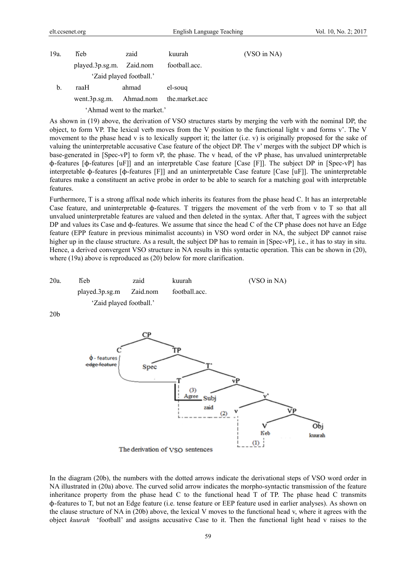| 19a. | lseb                     | zaid                        | kuurah                                 | (VSO in NA) |
|------|--------------------------|-----------------------------|----------------------------------------|-------------|
|      | played.3p.sg.m. Zaid.nom |                             | football.acc.                          |             |
|      | 'Zaid played football.'  |                             |                                        |             |
| $b$  | raaH                     | ahmad                       | el-soug                                |             |
|      |                          |                             | went.3p.sg.m. Ahmad.nom the.market.acc |             |
|      |                          | 'Ahmad went to the market.' |                                        |             |

As shown in (19) above, the derivation of VSO structures starts by merging the verb with the nominal DP, the object, to form VP. The lexical verb moves from the V position to the functional light v and forms v'. The V movement to the phase head v is to lexically support it; the latter (i.e. v) is originally proposed for the sake of valuing the uninterpretable accusative Case feature of the object DP. The v' merges with the subject DP which is base-generated in [Spec-vP] to form vP, the phase. The v head, of the vP phase, has unvalued uninterpretable ϕ-features [ϕ-features [uF]] and an interpretable Case feature [Case [F]]. The subject DP in [Spec-vP] has interpretable ϕ-features [ϕ-features [F]] and an uninterpretable Case feature [Case [uF]]. The uninterpretable features make a constituent an active probe in order to be able to search for a matching goal with interpretable features.

Furthermore, T is a strong affixal node which inherits its features from the phase head C. It has an interpretable Case feature, and uninterpretable ϕ-features. T triggers the movement of the verb from v to T so that all unvalued uninterpretable features are valued and then deleted in the syntax. After that, T agrees with the subject DP and values its Case and ϕ-features. We assume that since the head C of the CP phase does not have an Edge feature (EPP feature in previous minimalist accounts) in VSO word order in NA, the subject DP cannot raise higher up in the clause structure. As a result, the subject DP has to remain in [Spec-vP], i.e., it has to stay in situ. Hence, a derived convergent VSO structure in NA results in this syntactic operation. This can be shown in (20), where (19a) above is reproduced as (20) below for more clarification.



In the diagram (20b), the numbers with the dotted arrows indicate the derivational steps of VSO word order in NA illustrated in (20a) above. The curved solid arrow indicates the morpho-syntactic transmission of the feature inheritance property from the phase head C to the functional head T of TP. The phase head C transmits ϕ-features to T, but not an Edge feature (i.e. tense feature or EEP feature used in earlier analyses). As shown on the clause structure of NA in (20b) above, the lexical V moves to the functional head v, where it agrees with the object *kuurah* 'football' and assigns accusative Case to it. Then the functional light head v raises to the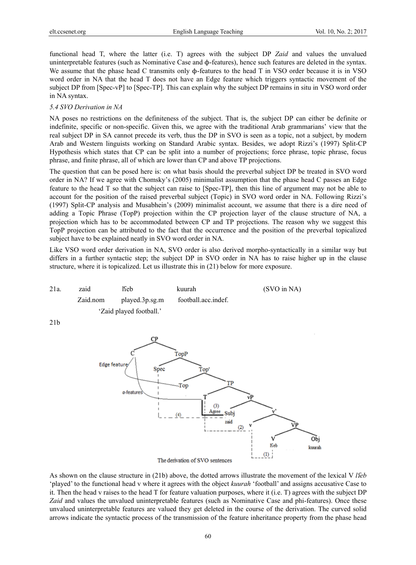functional head T, where the latter (i.e. T) agrees with the subject DP *Zaid* and values the unvalued uninterpretable features (such as Nominative Case and ϕ-features), hence such features are deleted in the syntax. We assume that the phase head C transmits only ϕ-features to the head T in VSO order because it is in VSO word order in NA that the head T does not have an Edge feature which triggers syntactic movement of the subject DP from [Spec-vP] to [Spec-TP]. This can explain why the subject DP remains in situ in VSO word order in NA syntax.

## *5.4 SVO Derivation in NA*

NA poses no restrictions on the definiteness of the subject. That is, the subject DP can either be definite or indefinite, specific or non-specific. Given this, we agree with the traditional Arab grammarians' view that the real subject DP in SA cannot precede its verb, thus the DP in SVO is seen as a topic, not a subject, by modern Arab and Western linguists working on Standard Arabic syntax. Besides, we adopt Rizzi's (1997) Split-CP Hypothesis which states that CP can be split into a number of projections; force phrase, topic phrase, focus phrase, and finite phrase, all of which are lower than CP and above TP projections.

The question that can be posed here is: on what basis should the preverbal subject DP be treated in SVO word order in NA? If we agree with Chomsky's (2005) minimalist assumption that the phase head C passes an Edge feature to the head T so that the subject can raise to [Spec-TP], then this line of argument may not be able to account for the position of the raised preverbal subject (Topic) in SVO word order in NA. Following Rizzi's (1997) Split-CP analysis and Musabhein's (2009) minimalist account, we assume that there is a dire need of adding a Topic Phrase (TopP) projection within the CP projection layer of the clause structure of NA, a projection which has to be accommodated between CP and TP projections. The reason why we suggest this TopP projection can be attributed to the fact that the occurrence and the position of the preverbal topicalized subject have to be explained neatly in SVO word order in NA.

Like VSO word order derivation in NA, SVO order is also derived morpho-syntactically in a similar way but differs in a further syntactic step; the subject DP in SVO order in NA has to raise higher up in the clause structure, where it is topicalized. Let us illustrate this in (21) below for more exposure.



As shown on the clause structure in (21b) above, the dotted arrows illustrate the movement of the lexical V *lseb* 'played' to the functional head v where it agrees with the object *kuurah* 'football' and assigns accusative Case to it. Then the head v raises to the head T for feature valuation purposes, where it (i.e. T) agrees with the subject DP *Zaid* and values the unvalued uninterpretable features (such as Nominative Case and phi-features). Once these unvalued uninterpretable features are valued they get deleted in the course of the derivation. The curved solid arrows indicate the syntactic process of the transmission of the feature inheritance property from the phase head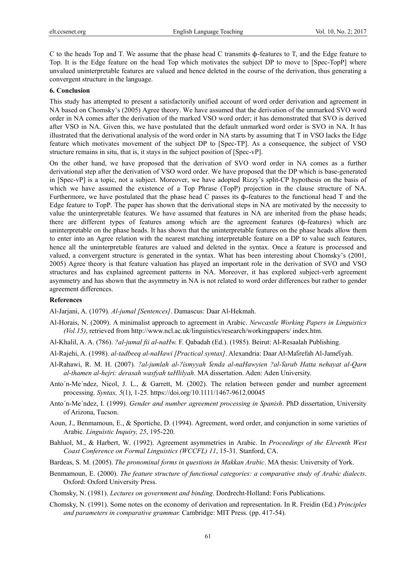C to the heads Top and T. We assume that the phase head C transmits ϕ-features to T, and the Edge feature to Top. It is the Edge feature on the head Top which motivates the subject DP to move to [Spec-TopP] where unvalued uninterpretable features are valued and hence deleted in the course of the derivation, thus generating a convergent structure in the language.

#### **6. Conclusion**

This study has attempted to present a satisfactorily unified account of word order derivation and agreement in NA based on Chomsky's (2005) Agree theory. We have assumed that the derivation of the unmarked SVO word order in NA comes after the derivation of the marked VSO word order; it has demonstrated that SVO is derived after VSO in NA. Given this, we have postulated that the default unmarked word order is SVO in NA. It has illustrated that the derivational analysis of the word order in NA starts by assuming that T in VSO lacks the Edge feature which motivates movement of the subject DP to [Spec-TP]. As a consequence, the subject of VSO structure remains in situ, that is, it stays in the subject position of [Spec-vP].

On the other hand, we have proposed that the derivation of SVO word order in NA comes as a further derivational step after the derivation of VSO word order. We have proposed that the DP which is base-generated in [Spec-vP] is a topic, not a subject. Moreover, we have adopted Rizzy's split-CP hypothesis on the basis of which we have assumed the existence of a Top Phrase (TopP) projection in the clause structure of NA. Furthermore, we have postulated that the phase head C passes its ϕ-features to the functional head T and the Edge feature to TopP. The paper has shown that the derivational steps in NA are motivated by the necessity to value the uninterpretable features. We have assumed that features in NA are inherited from the phase heads; there are different types of features among which are the agreement features (ϕ-features) which are uninterpretable on the phase heads. It has shown that the uninterpretable features on the phase heads allow them to enter into an Agree relation with the nearest matching interpretable feature on a DP to value such features, hence all the uninterpretable features are valued and deleted in the syntax. Once a feature is processed and valued, a convergent structure is generated in the syntax. What has been interesting about Chomsky's (2001, 2005) Agree theory is that feature valuation has played an important role in the derivation of SVO and VSO structures and has explained agreement patterns in NA. Moreover, it has explored subject-verb agreement asymmetry and has shown that the asymmetry in NA is not related to word order differences but rather to gender agreement differences.

## **References**

Al-Jarjani, A. (1079). *Al-jumal [Sentences]*. Damascus: Daar Al-Hekmah.

- Al-Horais, N. (2009). A minimalist approach to agreement in Arabic. *Newcastle Working Papers in Linguistics (Vol.15)*, retrieved from http://www.ncl.ac.uk/linguistics/research/workingpapers/ index.htm.
- Al-Khalil, A. A. (786). *?al-jumal fii al-naHw.* F. Qabadah (Ed.). (1985). Beirut: Al-Resaalah Publishing.
- Al-Rajehi, A. (1998). *al-tadbeeq al-naHawi [Practical syntax]*. Alexandria: Daar Al-Maʕrefah Al-Jameʕyah.
- Al-Rahawi, R. M. H. (2007). *?al-jumlah al-?ismyyah* ʕ*enda al-naHawyien ?al-*ʕ*arab Hatta nehayat al-Qarn al-thamen al-hejri: derasah wasfyah taHlilyah.* MA dissertation. Aden: Aden University.
- Anto´n-Me´ndez, Nicol, J. L., & Garrett, M. (2002). The relation between gender and number agreement processing. *Syntax, 5*(1), 1-25. https://doi.org/10.1111/1467-9612.00045
- Anto´n-Me´ndez, I. (1999). *Gender and number agreement processing in Spanish*. PhD dissertation, University of Arizona, Tucson.
- Aoun, J., Benmamoun, E., & Sportiche, D. (1994). Agreement, word order, and conjunction in some varieties of Arabic. *Linguistic Inquiry, 25*, 195-220.
- Bahluol, M., & Harbert, W. (1992). Agreement asymmetries in Arabic. In *Proceedings of the Eleventh West Coast Conference on Formal Linguistics (WCCFL) 11*, 15-31*.* Stanford, CA.
- Bardeas, S. M. (2005). *The pronominal forms in questions in Makkan Arabic*. MA thesis: University of York.
- Benmamoun, E. (2000). *The feature structure of functional categories: a comparative study of Arabic dialects*. Oxford: Oxford University Press.
- Chomsky, N. (1981). *Lectures on government and binding.* Dordrecht-Holland: Foris Publications.
- Chomsky, N. (1991). Some notes on the economy of derivation and representation. In R. Freidin (Ed.) *Principles and parameters in comparative grammar.* Cambridge: MIT Press. (pp. 417-54).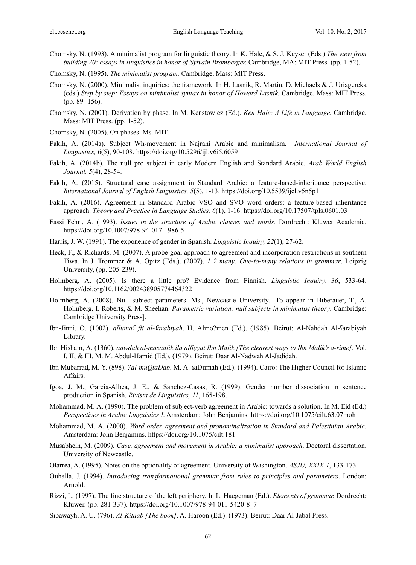- Chomsky, N. (1993). A minimalist program for linguistic theory. In K. Hale, & S. J. Keyser (Eds.) *The view from building 20: essays in linguistics in honor of Sylvain Bromberger.* Cambridge, MA: MIT Press. (pp. 1-52).
- Chomsky, N. (1995). *The minimalist program.* Cambridge, Mass: MIT Press.
- Chomsky, N. (2000). Minimalist inquiries: the framework. In H. Lasnik, R. Martin, D. Michaels & J. Uriagereka (eds.) *Step by step: Essays on minimalist syntax in honor of Howard Lasnik.* Cambridge. Mass: MIT Press. (pp. 89- 156).
- Chomsky, N. (2001). Derivation by phase. In M. Kenstowicz (Ed.). *Ken Hale: A Life in Language.* Cambridge, Mass: MIT Press. (pp. 1-52).
- Chomsky, N. (2005). On phases. Ms. MIT.
- Fakih, A. (2014a). Subject Wh-movement in Najrani Arabic and minimalism. *International Journal of Linguistics,* 6(5), 90-108. https://doi.org/10.5296/ijl.v6i5.6059
- Fakih, A. (2014b). The null pro subject in early Modern English and Standard Arabic. *Arab World English Journal, 5*(4), 28-54.
- Fakih, A. (2015). Structural case assignment in Standard Arabic: a feature-based-inheritance perspective. *International Journal of English Linguistics, 5*(5), 1-13. https://doi.org/10.5539/ijel.v5n5p1
- Fakih, A. (2016). Agreement in Standard Arabic VSO and SVO word orders: a feature-based inheritance approach. *Theory and Practice in Language Studies, 6*(1), 1-16. https://doi.org/10.17507/tpls.0601.03
- Fassi Fehri, A. (1993). *Issues in the structure of Arabic clauses and words.* Dordrecht: Kluwer Academic. https://doi.org/10.1007/978-94-017-1986-5
- Harris, J. W. (1991). The exponence of gender in Spanish. *Linguistic Inquiry, 22*(1), 27-62.
- Heck, F., & Richards, M. (2007). A probe-goal approach to agreement and incorporation restrictions in southern Tiwa*.* In J. Trommer & A. Opitz (Eds.). (2007). *1 2 many: One-to-many relations in grammar*. Leipzig University, (pp. 205-239).
- Holmberg, A. (2005). Is there a little pro? Evidence from Finnish. *Linguistic Inquiry, 36*, 533-64. https://doi.org/10.1162/002438905774464322
- Holmberg, A. (2008). Null subject parameters. Ms., Newcastle University. [To appear in Biberauer, T., A. Holmberg, I. Roberts, & M. Sheehan. *Parametric variation: null subjects in minimalist theory*. Cambridge: Cambridge University Press].
- Ibn-Jinni, O. (1002). *alluma*ʕ *fii al-*ʕ*arabiyah*. H. Almo?men (Ed.). (1985). Beirut: Al-Nahdah Al-ʕarabiyah Library.
- Ibn Hisham, A. (1360). *aawdah al-masaalik ila alfiyyat Ibn Malik [The clearest ways to Ibn Malik's a-rime]*. Vol. I, II, & III. M. M. Abdul-Hamid (Ed.). (1979). Beirut: Daar Al-Nadwah Al-Jadidah.
- Ibn Mubarrad, M. Y. (898). *?al-muQtaDab*. M. A. ʕaDiimah (Ed.). (1994). Cairo: The Higher Council for Islamic Affairs.
- Igoa, J. M., Garcia-Albea, J. E., & Sanchez-Casas, R. (1999). Gender number dissociation in sentence production in Spanish. *Rivista de Linguistics, 11*, 165-198.
- Mohammad, M. A. (1990). The problem of subject-verb agreement in Arabic: towards a solution. In M. Eid (Ed.) *Perspectives in Arabic Linguistics I*. Amsterdam: John Benjamins. https://doi.org/10.1075/cilt.63.07moh
- Mohammad, M. A. (2000). *Word order, agreement and pronominalization in Standard and Palestinian Arabic*. Amsterdam: John Benjamins. https://doi.org/10.1075/cilt.181
- Musabhein, M. (2009). *Case, agreement and movement in Arabic: a minimalist approach*. Doctoral dissertation. University of Newcastle.
- Olarrea, A. (1995). Notes on the optionality of agreement. University of Washington. *ASJU, XXIX-1*, 133-173
- Ouhalla, J. (1994). *Introducing transformational grammar from rules to principles and parameters*. London: Arnold.
- Rizzi, L. (1997). The fine structure of the left periphery. In L. Haegeman (Ed.). *Elements of grammar.* Dordrecht: Kluwer. (pp. 281-337). https://doi.org/10.1007/978-94-011-5420-8\_7
- Sibawayh, A. U. (796). *Al-Kitaab [The book]*. A. Haroon (Ed.). (1973). Beirut: Daar Al-Jabal Press.